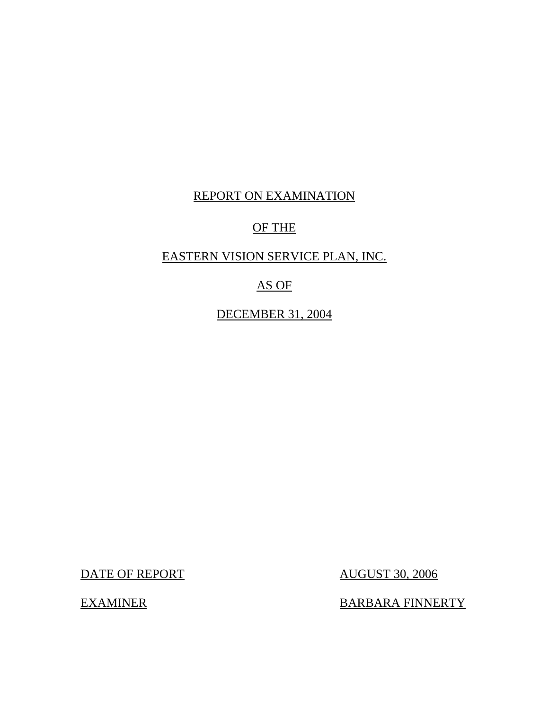## REPORT ON EXAMINATION

## OF THE

## EASTERN VISION SERVICE PLAN, INC.

## AS OF

DECEMBER 31, 2004

DATE OF REPORT AUGUST 30, 2006

EXAMINER BARBARA FINNERTY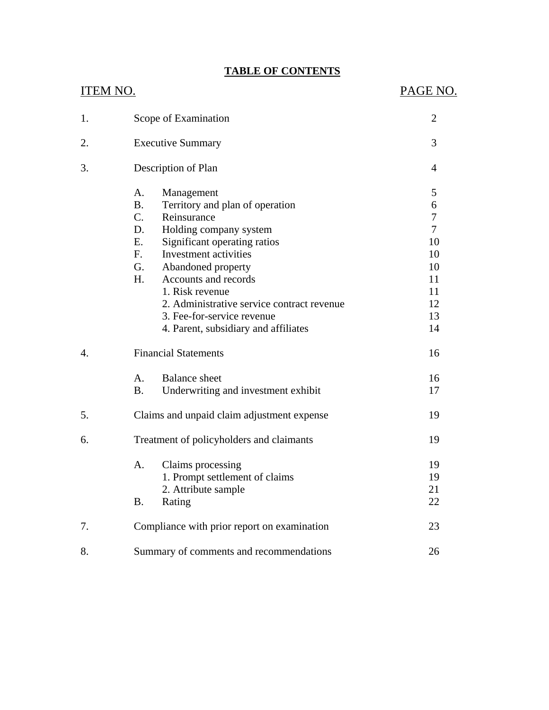## **TABLE OF CONTENTS**

| <b>ITEM NO.</b>  |                                                                                                                                                                                                                                                                         |                                                                                                                       | PAGE NO.                                                                      |
|------------------|-------------------------------------------------------------------------------------------------------------------------------------------------------------------------------------------------------------------------------------------------------------------------|-----------------------------------------------------------------------------------------------------------------------|-------------------------------------------------------------------------------|
| 1.               | Scope of Examination                                                                                                                                                                                                                                                    | $\overline{2}$                                                                                                        |                                                                               |
| 2.               | <b>Executive Summary</b>                                                                                                                                                                                                                                                |                                                                                                                       | 3                                                                             |
| 3.               | Description of Plan                                                                                                                                                                                                                                                     |                                                                                                                       | 4                                                                             |
|                  | A.<br>Management<br>B <sub>1</sub><br>C.<br>Reinsurance<br>D.<br>Holding company system<br>E.<br>Significant operating ratios<br>Investment activities<br>F.<br>G.<br>Abandoned property<br>Accounts and records<br>H.<br>1. Risk revenue<br>3. Fee-for-service revenue | Territory and plan of operation<br>2. Administrative service contract revenue<br>4. Parent, subsidiary and affiliates | 5<br>6<br>7<br>$\overline{7}$<br>10<br>10<br>10<br>11<br>11<br>12<br>13<br>14 |
| $\overline{4}$ . | <b>Financial Statements</b>                                                                                                                                                                                                                                             |                                                                                                                       | 16                                                                            |
|                  | A.<br><b>Balance</b> sheet<br><b>B.</b>                                                                                                                                                                                                                                 | Underwriting and investment exhibit                                                                                   | 16<br>17                                                                      |
| 5.               |                                                                                                                                                                                                                                                                         | Claims and unpaid claim adjustment expense                                                                            | 19                                                                            |
| 6.               | Treatment of policyholders and claimants                                                                                                                                                                                                                                |                                                                                                                       | 19                                                                            |
|                  | Claims processing<br>А.<br>2. Attribute sample<br><b>B.</b><br>Rating                                                                                                                                                                                                   | 1. Prompt settlement of claims                                                                                        | 19<br>19<br>21<br>22                                                          |
| 7.               |                                                                                                                                                                                                                                                                         | Compliance with prior report on examination                                                                           | 23                                                                            |
| 8.               |                                                                                                                                                                                                                                                                         | Summary of comments and recommendations                                                                               | 26                                                                            |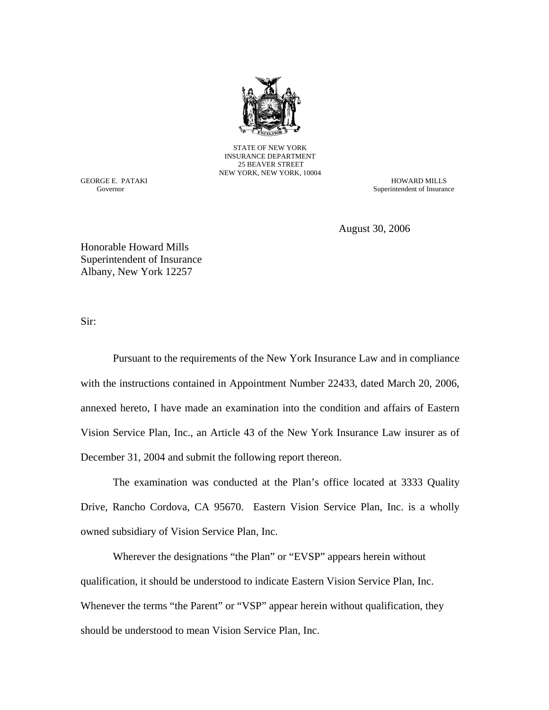

STATE OF NEW YORK INSURANCE DEPARTMENT 25 BEAVER STREET NEW YORK, NEW YORK, 10004

Governor

GEORGE E. PATAKI HOWARD MILLS Superintendent of Insurance

August 30, 2006

Honorable Howard Mills Superintendent of Insurance Albany, New York 12257

Sir:

Pursuant to the requirements of the New York Insurance Law and in compliance with the instructions contained in Appointment Number 22433, dated March 20, 2006, annexed hereto, I have made an examination into the condition and affairs of Eastern Vision Service Plan, Inc., an Article 43 of the New York Insurance Law insurer as of December 31, 2004 and submit the following report thereon.

The examination was conducted at the Plan's office located at 3333 Quality Drive, Rancho Cordova, CA 95670. Eastern Vision Service Plan, Inc. is a wholly owned subsidiary of Vision Service Plan, Inc.

Wherever the designations "the Plan" or "EVSP" appears herein without qualification, it should be understood to indicate Eastern Vision Service Plan, Inc. Whenever the terms "the Parent" or "VSP" appear herein without qualification, they should be understood to mean Vision Service Plan, Inc.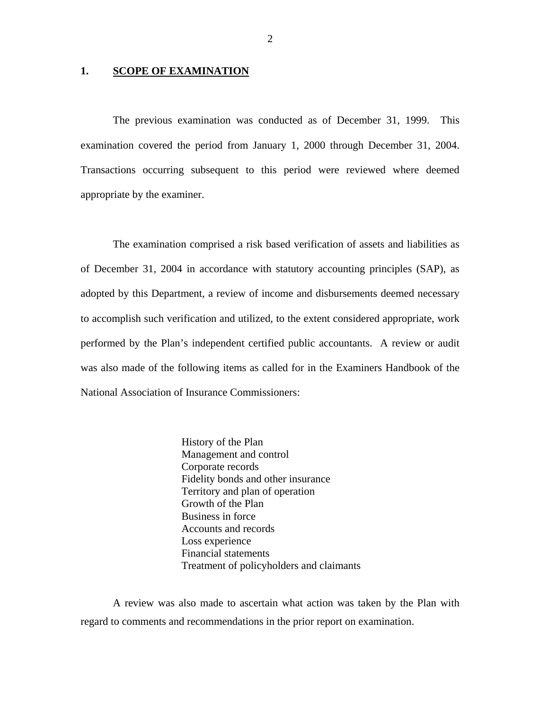#### 1. **SCOPE OF EXAMINATION**

The previous examination was conducted as of December 31, 1999. This examination covered the period from January 1, 2000 through December 31, 2004. Transactions occurring subsequent to this period were reviewed where deemed appropriate by the examiner.

The examination comprised a risk based verification of assets and liabilities as of December 31, 2004 in accordance with statutory accounting principles (SAP), as adopted by this Department, a review of income and disbursements deemed necessary to accomplish such verification and utilized, to the extent considered appropriate, work performed by the Plan's independent certified public accountants. A review or audit was also made of the following items as called for in the Examiners Handbook of the National Association of Insurance Commissioners:

> History of the Plan Management and control Corporate records Fidelity bonds and other insurance Territory and plan of operation Growth of the Plan Business in force Accounts and records Loss experience Financial statements Treatment of policyholders and claimants

A review was also made to ascertain what action was taken by the Plan with regard to comments and recommendations in the prior report on examination.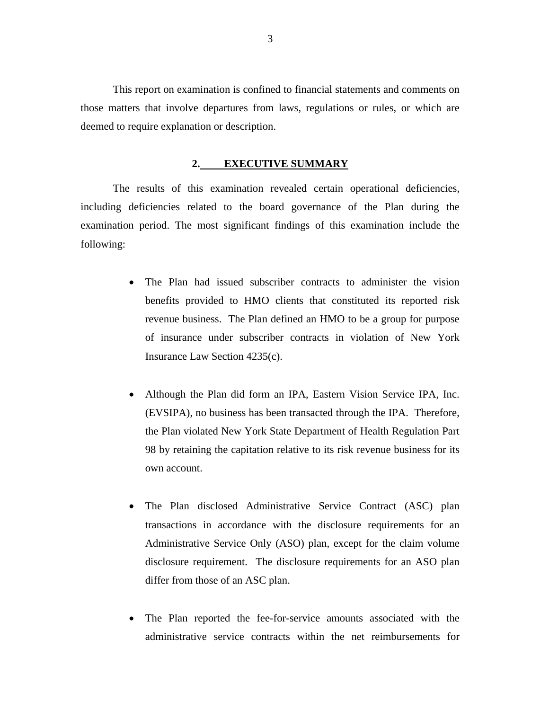This report on examination is confined to financial statements and comments on those matters that involve departures from laws, regulations or rules, or which are deemed to require explanation or description.

#### **2. EXECUTIVE SUMMARY**

The results of this examination revealed certain operational deficiencies, including deficiencies related to the board governance of the Plan during the examination period. The most significant findings of this examination include the following:

- The Plan had issued subscriber contracts to administer the vision benefits provided to HMO clients that constituted its reported risk revenue business. The Plan defined an HMO to be a group for purpose of insurance under subscriber contracts in violation of New York Insurance Law Section 4235(c).
- Although the Plan did form an IPA, Eastern Vision Service IPA, Inc. (EVSIPA), no business has been transacted through the IPA. Therefore, the Plan violated New York State Department of Health Regulation Part 98 by retaining the capitation relative to its risk revenue business for its own account.
- The Plan disclosed Administrative Service Contract (ASC) plan transactions in accordance with the disclosure requirements for an Administrative Service Only (ASO) plan, except for the claim volume disclosure requirement. The disclosure requirements for an ASO plan differ from those of an ASC plan.
- The Plan reported the fee-for-service amounts associated with the administrative service contracts within the net reimbursements for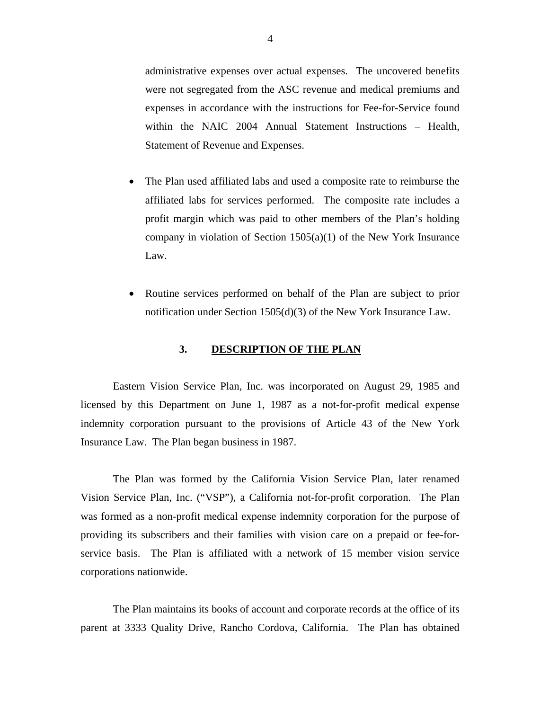administrative expenses over actual expenses. The uncovered benefits were not segregated from the ASC revenue and medical premiums and expenses in accordance with the instructions for Fee-for-Service found within the NAIC 2004 Annual Statement Instructions – Health, Statement of Revenue and Expenses.

- The Plan used affiliated labs and used a composite rate to reimburse the affiliated labs for services performed. The composite rate includes a profit margin which was paid to other members of the Plan's holding company in violation of Section 1505(a)(1) of the New York Insurance Law.
- Routine services performed on behalf of the Plan are subject to prior notification under Section 1505(d)(3) of the New York Insurance Law.

#### **3. DESCRIPTION OF THE PLAN**

Eastern Vision Service Plan, Inc. was incorporated on August 29, 1985 and licensed by this Department on June 1, 1987 as a not-for-profit medical expense indemnity corporation pursuant to the provisions of Article 43 of the New York Insurance Law. The Plan began business in 1987.

The Plan was formed by the California Vision Service Plan, later renamed Vision Service Plan, Inc. ("VSP"), a California not-for-profit corporation. The Plan was formed as a non-profit medical expense indemnity corporation for the purpose of providing its subscribers and their families with vision care on a prepaid or fee-forservice basis. The Plan is affiliated with a network of 15 member vision service corporations nationwide.

The Plan maintains its books of account and corporate records at the office of its parent at 3333 Quality Drive, Rancho Cordova, California. The Plan has obtained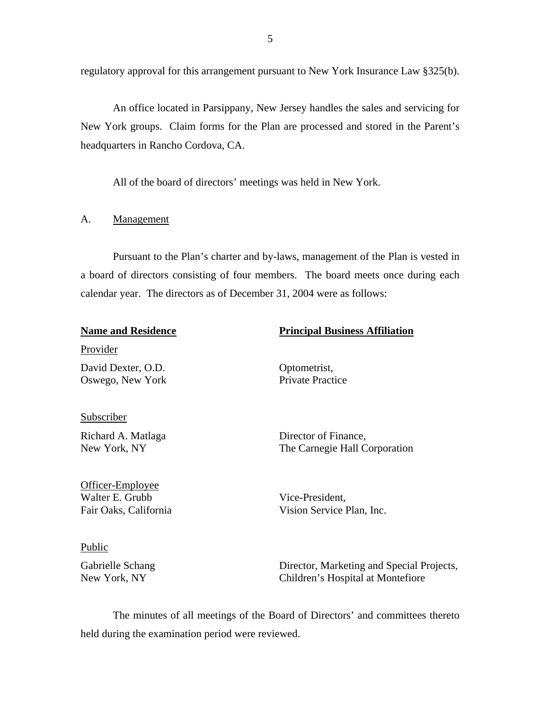<span id="page-6-0"></span>regulatory approval for this arrangement pursuant to New York Insurance Law §325(b).

An office located in Parsippany, New Jersey handles the sales and servicing for New York groups. Claim forms for the Plan are processed and stored in the Parent's headquarters in Rancho Cordova, CA.

All of the board of directors' meetings was held in New York.

#### A. Management

Pursuant to the Plan's charter and by-laws, management of the Plan is vested in a board of directors consisting of four members. The board meets once during each calendar year. The directors as of December 31, 2004 were as follows:

| <b>Name and Residence</b>                                    | <b>Principal Business Affiliation</b>                 |
|--------------------------------------------------------------|-------------------------------------------------------|
| Provider                                                     |                                                       |
| David Dexter, O.D.<br>Oswego, New York                       | Optometrist,<br><b>Private Practice</b>               |
| Subscriber                                                   |                                                       |
| Richard A. Matlaga<br>New York, NY                           | Director of Finance,<br>The Carnegie Hall Corporation |
| Officer-Employee<br>Walter E. Grubb<br>Fair Oaks, California | Vice-President,<br>Vision Service Plan, Inc.          |

#### Public

Gabrielle Schang New York, NY

Director, Marketing and Special Projects, Children's Hospital at Montefiore

The minutes of all meetings of the Board of Directors' and committees thereto held during the examination period were reviewed.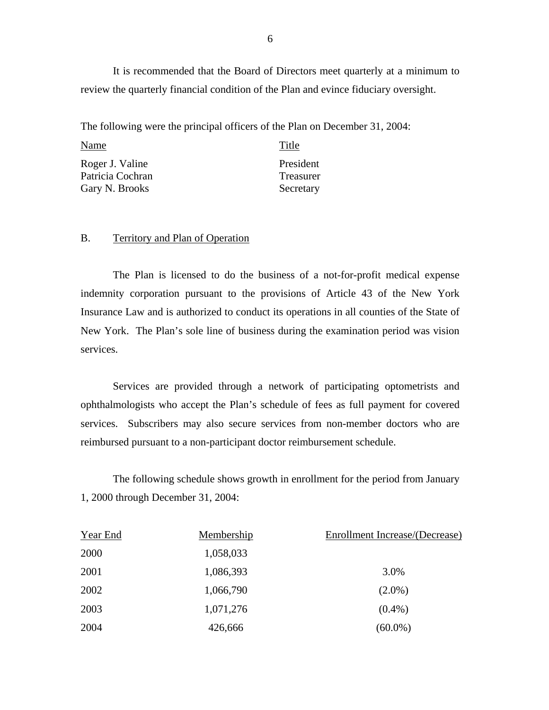It is recommended that the Board of Directors meet quarterly at a minimum to review the quarterly financial condition of the Plan and evince fiduciary oversight.

The following were the principal officers of the Plan on December 31, 2004:

| Name                                                  | Title                               |
|-------------------------------------------------------|-------------------------------------|
| Roger J. Valine<br>Patricia Cochran<br>Gary N. Brooks | President<br>Treasurer<br>Secretary |
|                                                       |                                     |

#### B. Territory and Plan of Operation

The Plan is licensed to do the business of a not-for-profit medical expense indemnity corporation pursuant to the provisions of Article 43 of the New York Insurance Law and is authorized to conduct its operations in all counties of the State of New York. The Plan's sole line of business during the examination period was vision services.

Services are provided through a network of participating optometrists and ophthalmologists who accept the Plan's schedule of fees as full payment for covered services. Subscribers may also secure services from non-member doctors who are reimbursed pursuant to a non-participant doctor reimbursement schedule.

The following schedule shows growth in enrollment for the period from January 1, 2000 through December 31, 2004:

| Year End | Membership | Enrollment Increase/(Decrease) |
|----------|------------|--------------------------------|
| 2000     | 1,058,033  |                                |
| 2001     | 1,086,393  | 3.0%                           |
| 2002     | 1,066,790  | $(2.0\%)$                      |
| 2003     | 1,071,276  | $(0.4\%)$                      |
| 2004     | 426,666    | $(60.0\%)$                     |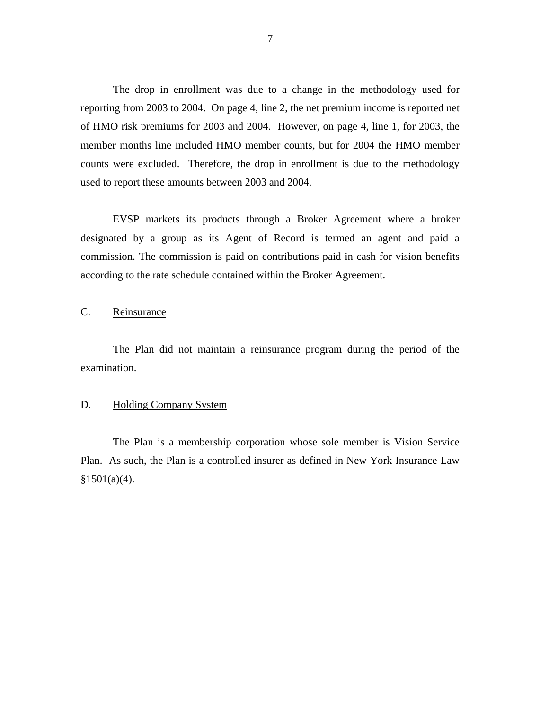<span id="page-8-0"></span>The drop in enrollment was due to a change in the methodology used for reporting from 2003 to 2004. On page 4, line 2, the net premium income is reported net of HMO risk premiums for 2003 and 2004. However, on page 4, line 1, for 2003, the member months line included HMO member counts, but for 2004 the HMO member counts were excluded. Therefore, the drop in enrollment is due to the methodology used to report these amounts between 2003 and 2004.

EVSP markets its products through a Broker Agreement where a broker designated by a group as its Agent of Record is termed an agent and paid a commission. The commission is paid on contributions paid in cash for vision benefits according to the rate schedule contained within the Broker Agreement.

C. Reinsurance

The Plan did not maintain a reinsurance program during the period of the examination.

#### D. Holding Company System

The Plan is a membership corporation whose sole member is Vision Service Plan. As such, the Plan is a controlled insurer as defined in New York Insurance Law  $§1501(a)(4).$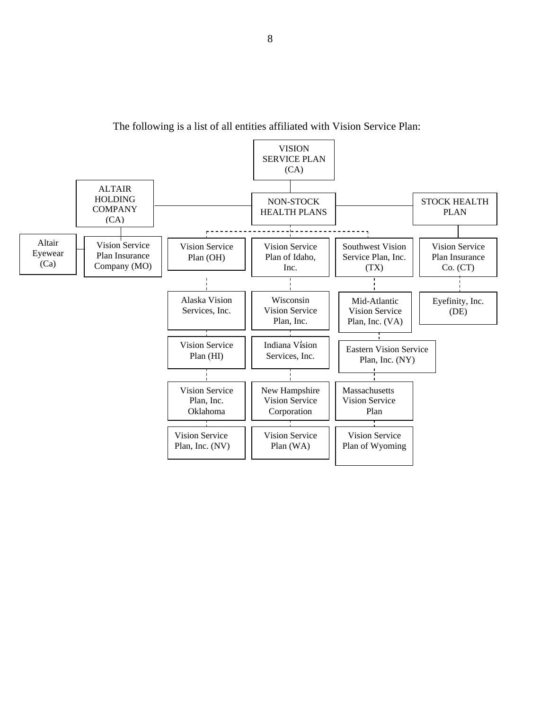

The following is a list of all entities affiliated with Vision Service Plan: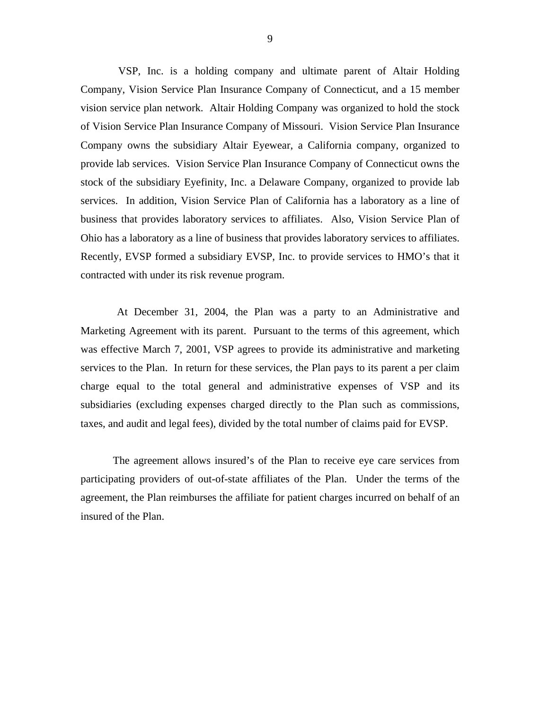VSP, Inc. is a holding company and ultimate parent of Altair Holding Company, Vision Service Plan Insurance Company of Connecticut, and a 15 member vision service plan network. Altair Holding Company was organized to hold the stock of Vision Service Plan Insurance Company of Missouri. Vision Service Plan Insurance Company owns the subsidiary Altair Eyewear, a California company, organized to provide lab services. Vision Service Plan Insurance Company of Connecticut owns the stock of the subsidiary Eyefinity, Inc. a Delaware Company, organized to provide lab services. In addition, Vision Service Plan of California has a laboratory as a line of business that provides laboratory services to affiliates. Also, Vision Service Plan of Ohio has a laboratory as a line of business that provides laboratory services to affiliates. Recently, EVSP formed a subsidiary EVSP, Inc. to provide services to HMO's that it contracted with under its risk revenue program.

At December 31, 2004, the Plan was a party to an Administrative and Marketing Agreement with its parent. Pursuant to the terms of this agreement, which was effective March 7, 2001, VSP agrees to provide its administrative and marketing services to the Plan. In return for these services, the Plan pays to its parent a per claim charge equal to the total general and administrative expenses of VSP and its subsidiaries (excluding expenses charged directly to the Plan such as commissions, taxes, and audit and legal fees), divided by the total number of claims paid for EVSP.

The agreement allows insured's of the Plan to receive eye care services from participating providers of out-of-state affiliates of the Plan. Under the terms of the agreement, the Plan reimburses the affiliate for patient charges incurred on behalf of an insured of the Plan.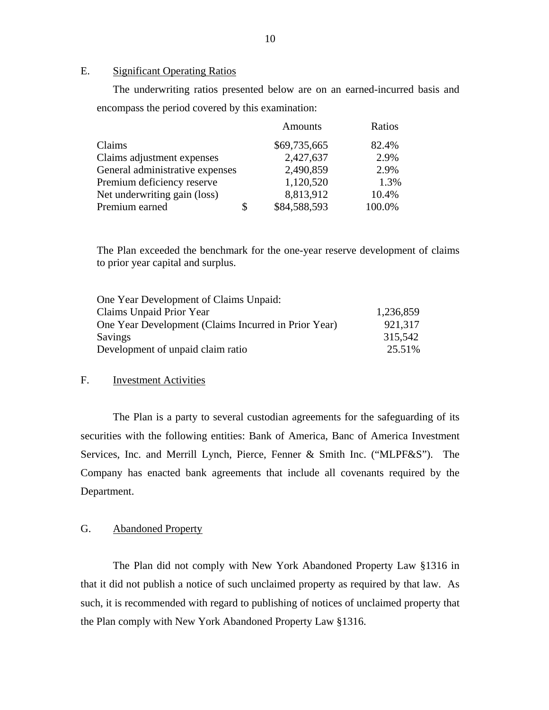#### E. Significant Operating Ratios

The underwriting ratios presented below are on an earned-incurred basis and encompass the period covered by this examination:

|                                 | <b>Amounts</b>     | Ratios |
|---------------------------------|--------------------|--------|
| Claims                          | \$69,735,665       | 82.4%  |
| Claims adjustment expenses      | 2,427,637          | 2.9%   |
| General administrative expenses | 2,490,859          | 2.9%   |
| Premium deficiency reserve      | 1,120,520          | 1.3%   |
| Net underwriting gain (loss)    | 8,813,912          | 10.4%  |
| Premium earned                  | \$<br>\$84,588,593 | 100.0% |

The Plan exceeded the benchmark for the one-year reserve development of claims to prior year capital and surplus.

| One Year Development of Claims Unpaid:               |           |
|------------------------------------------------------|-----------|
| Claims Unpaid Prior Year                             | 1,236,859 |
| One Year Development (Claims Incurred in Prior Year) | 921,317   |
| <b>Savings</b>                                       | 315,542   |
| Development of unpaid claim ratio                    | 25.51%    |

#### F. Investment Activities

The Plan is a party to several custodian agreements for the safeguarding of its securities with the following entities: Bank of America, Banc of America Investment Services, Inc. and Merrill Lynch, Pierce, Fenner & Smith Inc. ("MLPF&S"). The Company has enacted bank agreements that include all covenants required by the Department.

#### G. Abandoned Property

The Plan did not comply with New York Abandoned Property Law §1316 in that it did not publish a notice of such unclaimed property as required by that law. As such, it is recommended with regard to publishing of notices of unclaimed property that the Plan comply with New York Abandoned Property Law §1316.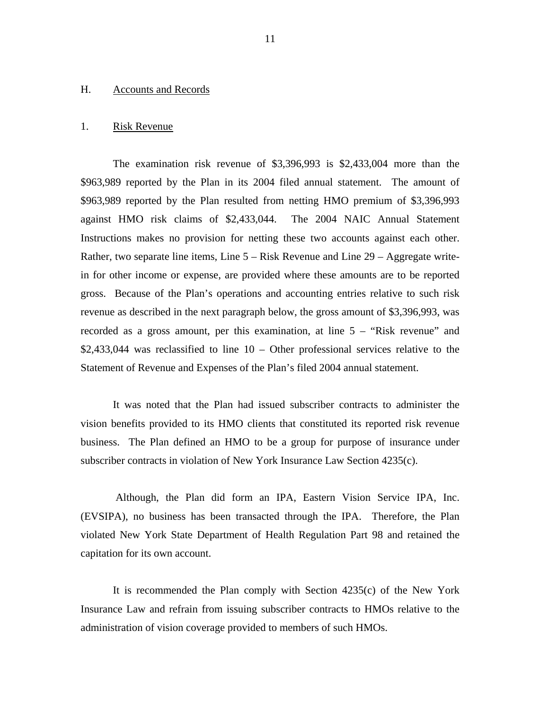#### <span id="page-12-0"></span>H. Accounts and Records

#### 1. Risk Revenue

The examination risk revenue of \$3,396,993 is \$2,433,004 more than the \$963,989 reported by the Plan in its 2004 filed annual statement. The amount of \$963,989 reported by the Plan resulted from netting HMO premium of \$3,396,993 against HMO risk claims of \$2,433,044. The 2004 NAIC Annual Statement Instructions makes no provision for netting these two accounts against each other. Rather, two separate line items, Line 5 – Risk Revenue and Line 29 – Aggregate writein for other income or expense, are provided where these amounts are to be reported gross. Because of the Plan's operations and accounting entries relative to such risk revenue as described in the next paragraph below, the gross amount of \$3,396,993, was recorded as a gross amount, per this examination, at line 5 – "Risk revenue" and \$2,433,044 was reclassified to line 10 – Other professional services relative to the Statement of Revenue and Expenses of the Plan's filed 2004 annual statement.

It was noted that the Plan had issued subscriber contracts to administer the vision benefits provided to its HMO clients that constituted its reported risk revenue business. The Plan defined an HMO to be a group for purpose of insurance under subscriber contracts in violation of New York Insurance Law Section 4235(c).

Although, the Plan did form an IPA, Eastern Vision Service IPA, Inc. (EVSIPA), no business has been transacted through the IPA. Therefore, the Plan violated New York State Department of Health Regulation Part 98 and retained the capitation for its own account.

It is recommended the Plan comply with Section 4235(c) of the New York Insurance Law and refrain from issuing subscriber contracts to HMOs relative to the administration of vision coverage provided to members of such HMOs.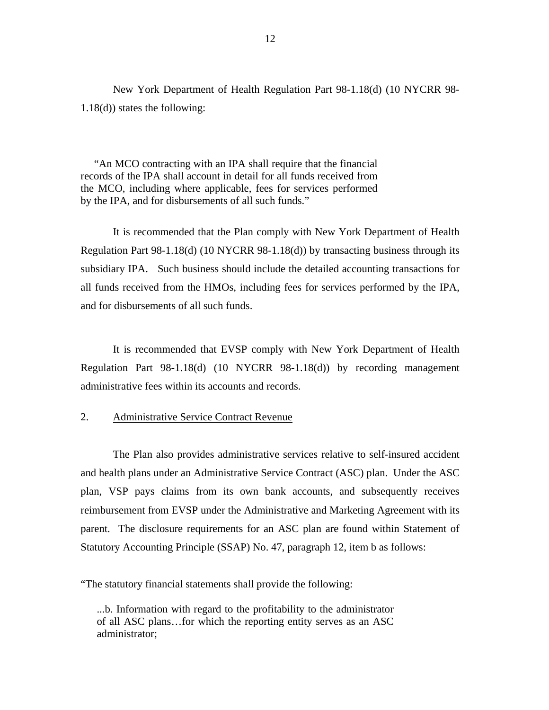<span id="page-13-0"></span>New York Department of Health Regulation Part 98-1.18(d) (10 NYCRR 98- 1.18(d)) states the following:

 "An MCO contracting with an IPA shall require that the financial records of the IPA shall account in detail for all funds received from the MCO, including where applicable, fees for services performed by the IPA, and for disbursements of all such funds."

It is recommended that the Plan comply with New York Department of Health Regulation Part 98-1.18(d) (10 NYCRR 98-1.18(d)) by transacting business through its subsidiary IPA. Such business should include the detailed accounting transactions for all funds received from the HMOs, including fees for services performed by the IPA, and for disbursements of all such funds.

It is recommended that EVSP comply with New York Department of Health Regulation Part 98-1.18(d) (10 NYCRR 98-1.18(d)) by recording management administrative fees within its accounts and records.

#### 2. Administrative Service Contract Revenue

The Plan also provides administrative services relative to self-insured accident and health plans under an Administrative Service Contract (ASC) plan. Under the ASC plan, VSP pays claims from its own bank accounts, and subsequently receives reimbursement from EVSP under the Administrative and Marketing Agreement with its parent. The disclosure requirements for an ASC plan are found within Statement of Statutory Accounting Principle (SSAP) No. 47, paragraph 12, item b as follows:

"The statutory financial statements shall provide the following:

...b. Information with regard to the profitability to the administrator of all ASC plans…for which the reporting entity serves as an ASC administrator;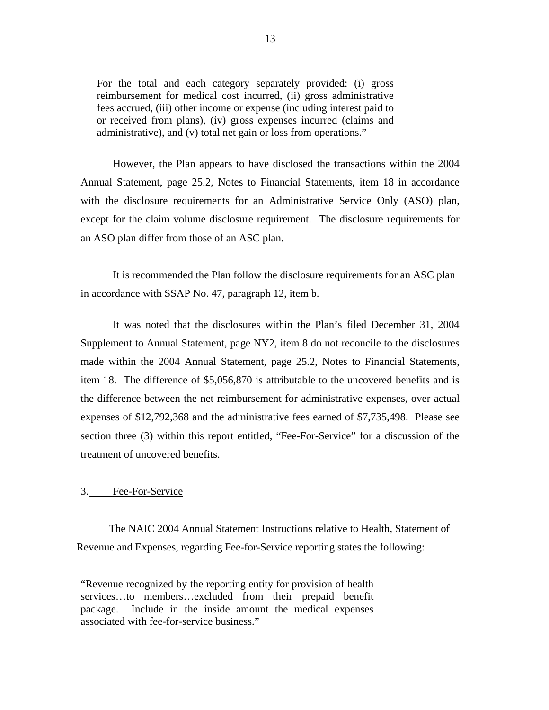<span id="page-14-0"></span>For the total and each category separately provided: (i) gross reimbursement for medical cost incurred, (ii) gross administrative fees accrued, (iii) other income or expense (including interest paid to or received from plans), (iv) gross expenses incurred (claims and administrative), and (v) total net gain or loss from operations."

However, the Plan appears to have disclosed the transactions within the 2004 Annual Statement, page 25.2, Notes to Financial Statements, item 18 in accordance with the disclosure requirements for an Administrative Service Only (ASO) plan, except for the claim volume disclosure requirement. The disclosure requirements for an ASO plan differ from those of an ASC plan.

It is recommended the Plan follow the disclosure requirements for an ASC plan in accordance with SSAP No. 47, paragraph 12, item b.

It was noted that the disclosures within the Plan's filed December 31, 2004 Supplement to Annual Statement, page NY2, item 8 do not reconcile to the disclosures made within the 2004 Annual Statement, page 25.2, Notes to Financial Statements, item 18. The difference of \$5,056,870 is attributable to the uncovered benefits and is the difference between the net reimbursement for administrative expenses, over actual expenses of \$12,792,368 and the administrative fees earned of \$7,735,498. Please see section three (3) within this report entitled, "Fee-For-Service" for a discussion of the treatment of uncovered benefits.

#### 3. Fee-For-Service

The NAIC 2004 Annual Statement Instructions relative to Health, Statement of Revenue and Expenses, regarding Fee-for-Service reporting states the following:

"Revenue recognized by the reporting entity for provision of health services…to members…excluded from their prepaid benefit package. Include in the inside amount the medical expenses associated with fee-for-service business."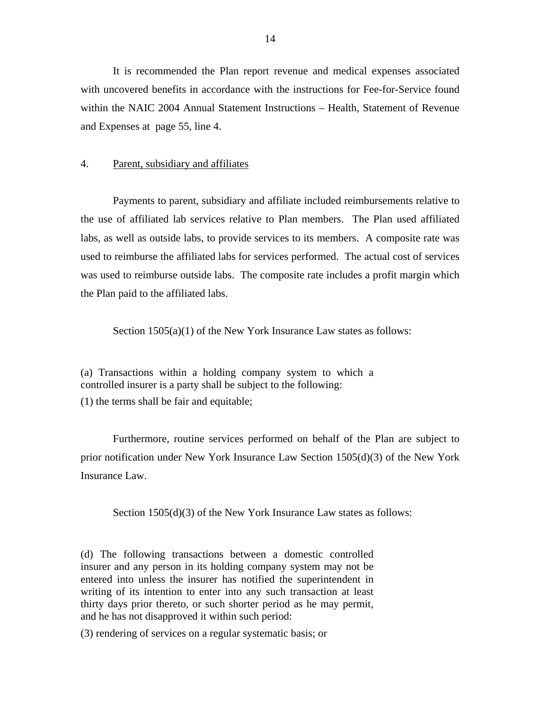<span id="page-15-0"></span>It is recommended the Plan report revenue and medical expenses associated with uncovered benefits in accordance with the instructions for Fee-for-Service found within the NAIC 2004 Annual Statement Instructions – Health, Statement of Revenue and Expenses at page 55, line 4.

#### 4. Parent, subsidiary and affiliates

Payments to parent, subsidiary and affiliate included reimbursements relative to the use of affiliated lab services relative to Plan members. The Plan used affiliated labs, as well as outside labs, to provide services to its members. A composite rate was used to reimburse the affiliated labs for services performed. The actual cost of services was used to reimburse outside labs. The composite rate includes a profit margin which the Plan paid to the affiliated labs.

Section 1505(a)(1) of the New York Insurance Law states as follows:

(a) Transactions within a holding company system to which a controlled insurer is a party shall be subject to the following:

(1) the terms shall be fair and equitable;

Furthermore, routine services performed on behalf of the Plan are subject to prior notification under New York Insurance Law Section 1505(d)(3) of the New York Insurance Law.

Section 1505(d)(3) of the New York Insurance Law states as follows:

(d) The following transactions between a domestic controlled insurer and any person in its holding company system may not be entered into unless the insurer has notified the superintendent in writing of its intention to enter into any such transaction at least thirty days prior thereto, or such shorter period as he may permit, and he has not disapproved it within such period:

(3) rendering of services on a regular systematic basis; or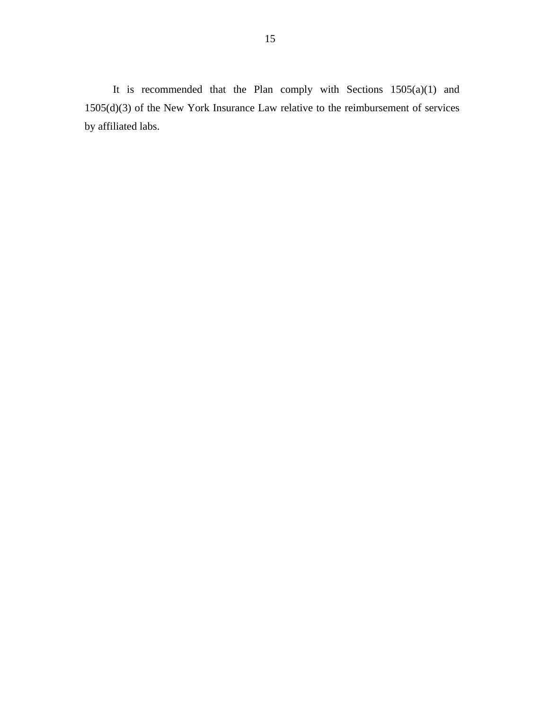It is recommended that the Plan comply with Sections 1505(a)(1) and 1505(d)(3) of the New York Insurance Law relative to the reimbursement of services by affiliated labs.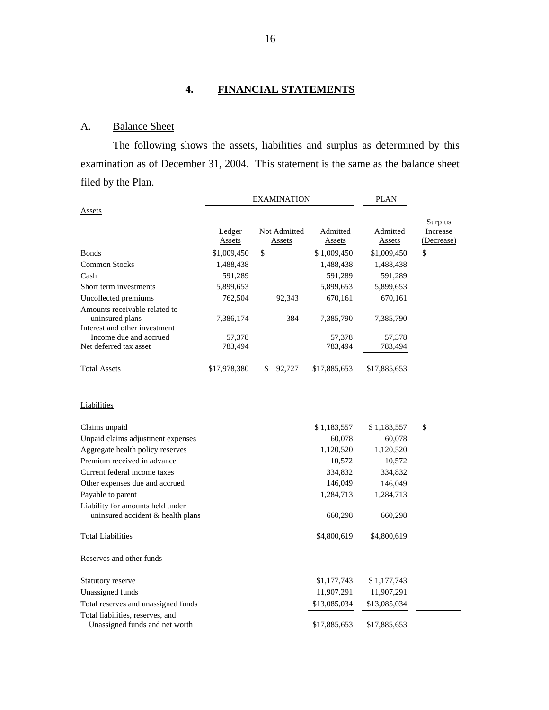## **4. FINANCIAL STATEMENTS**

## A. Balance Sheet

The following shows the assets, liabilities and surplus as determined by this examination as of December 31, 2004. This statement is the same as the balance sheet filed by the Plan.

|                                                                       | <b>EXAMINATION</b>      |                               |                           | <b>PLAN</b>        |                                   |
|-----------------------------------------------------------------------|-------------------------|-------------------------------|---------------------------|--------------------|-----------------------------------|
| Assets                                                                |                         |                               |                           |                    |                                   |
|                                                                       | Ledger<br><b>Assets</b> | Not Admitted<br><b>Assets</b> | Admitted<br><b>Assets</b> | Admitted<br>Assets | Surplus<br>Increase<br>(Decrease) |
| <b>Bonds</b>                                                          | \$1,009,450             | \$                            | \$1,009,450               | \$1,009,450        | \$                                |
| <b>Common Stocks</b>                                                  | 1,488,438               |                               | 1,488,438                 | 1,488,438          |                                   |
| Cash                                                                  | 591,289                 |                               | 591,289                   | 591,289            |                                   |
| Short term investments                                                | 5,899,653               |                               | 5,899,653                 | 5,899,653          |                                   |
| Uncollected premiums                                                  | 762,504                 | 92,343                        | 670,161                   | 670,161            |                                   |
| Amounts receivable related to<br>uninsured plans                      | 7,386,174               | 384                           | 7,385,790                 | 7,385,790          |                                   |
| Interest and other investment                                         |                         |                               |                           |                    |                                   |
| Income due and accrued                                                | 57,378                  |                               | 57,378                    | 57,378             |                                   |
| Net deferred tax asset                                                | 783,494                 |                               | 783,494                   | 783,494            |                                   |
| <b>Total Assets</b>                                                   | \$17,978,380            | \$<br>92,727                  | \$17,885,653              | \$17,885,653       |                                   |
| Liabilities                                                           |                         |                               |                           |                    |                                   |
| Claims unpaid                                                         |                         |                               | \$1,183,557               | \$1,183,557        | \$                                |
| Unpaid claims adjustment expenses                                     |                         |                               | 60,078                    | 60,078             |                                   |
| Aggregate health policy reserves                                      |                         |                               | 1,120,520                 | 1,120,520          |                                   |
| Premium received in advance                                           |                         |                               | 10,572                    | 10,572             |                                   |
| Current federal income taxes                                          |                         |                               | 334,832                   | 334,832            |                                   |
| Other expenses due and accrued                                        |                         |                               | 146,049                   | 146,049            |                                   |
| Payable to parent                                                     |                         |                               | 1,284,713                 | 1,284,713          |                                   |
| Liability for amounts held under<br>uninsured accident & health plans |                         |                               | 660,298                   | 660,298            |                                   |
| <b>Total Liabilities</b>                                              |                         |                               | \$4,800,619               | \$4,800,619        |                                   |
| Reserves and other funds                                              |                         |                               |                           |                    |                                   |
| Statutory reserve                                                     |                         |                               | \$1,177,743               | \$1,177,743        |                                   |
| Unassigned funds                                                      |                         |                               | 11,907,291                | 11,907,291         |                                   |
| Total reserves and unassigned funds                                   |                         |                               | \$13,085,034              | \$13,085,034       |                                   |
| Total liabilities, reserves, and<br>Unassigned funds and net worth    |                         |                               | \$17,885,653              | \$17,885,653       |                                   |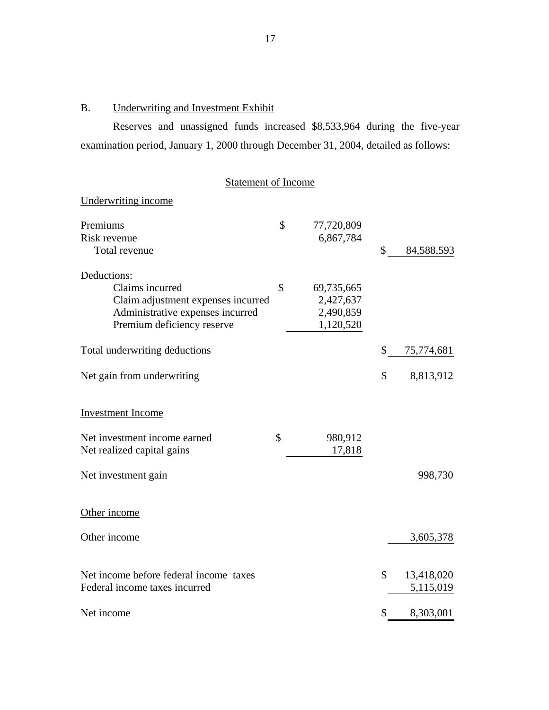# B. Underwriting and Investment Exhibit

Reserves and unassigned funds increased \$8,533,964 during the five-year examination period, January 1, 2000 through December 31, 2004, detailed as follows:

| <b>Statement of Income</b>                                                                                                             |    |                                                   |    |                         |
|----------------------------------------------------------------------------------------------------------------------------------------|----|---------------------------------------------------|----|-------------------------|
| Underwriting income                                                                                                                    |    |                                                   |    |                         |
| Premiums<br>Risk revenue<br>Total revenue                                                                                              | \$ | 77,720,809<br>6,867,784                           | \$ | 84,588,593              |
| Deductions:<br>Claims incurred<br>Claim adjustment expenses incurred<br>Administrative expenses incurred<br>Premium deficiency reserve | \$ | 69,735,665<br>2,427,637<br>2,490,859<br>1,120,520 |    |                         |
| Total underwriting deductions                                                                                                          |    |                                                   | \$ | 75,774,681              |
| Net gain from underwriting                                                                                                             |    |                                                   | \$ | 8,813,912               |
| <b>Investment Income</b>                                                                                                               |    |                                                   |    |                         |
| Net investment income earned<br>Net realized capital gains                                                                             | \$ | 980,912<br>17,818                                 |    |                         |
| Net investment gain                                                                                                                    |    |                                                   |    | 998,730                 |
| Other income                                                                                                                           |    |                                                   |    |                         |
| Other income                                                                                                                           |    |                                                   |    | 3,605,378               |
| Net income before federal income taxes<br>Federal income taxes incurred                                                                |    |                                                   | \$ | 13,418,020<br>5,115,019 |
| Net income                                                                                                                             |    |                                                   | \$ | 8,303,001               |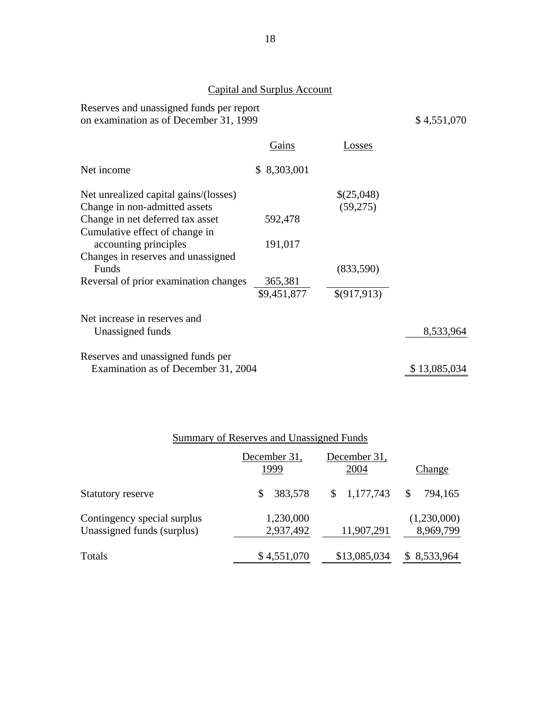## Capital and Surplus Account

Reserves and unassigned funds per report on examination as of December 31, 1999  $$4,551,070$ 

| Gains                               | Losses       |              |
|-------------------------------------|--------------|--------------|
| \$8,303,001                         |              |              |
|                                     | \$(25,048)   |              |
|                                     | (59,275)     |              |
| 592,478                             |              |              |
|                                     |              |              |
| 191,017                             |              |              |
|                                     |              |              |
|                                     | (833,590)    |              |
| 365,381                             |              |              |
| \$9,451,877                         | \$(917, 913) |              |
|                                     |              |              |
|                                     |              | 8,533,964    |
|                                     |              |              |
| Examination as of December 31, 2004 |              | \$13,085,034 |
|                                     |              |              |

|                                                           | December 31,<br>1999   | December 31,<br>2004 | Change                   |
|-----------------------------------------------------------|------------------------|----------------------|--------------------------|
| <b>Statutory reserve</b>                                  | 383,578<br>S           | 1,177,743            | 794,165<br>\$            |
| Contingency special surplus<br>Unassigned funds (surplus) | 1,230,000<br>2,937,492 | 11,907,291           | (1,230,000)<br>8,969,799 |
| Totals                                                    | \$4,551,070            | \$13,085,034         | \$8,533,964              |

## Summary of Reserves and Unassigned Funds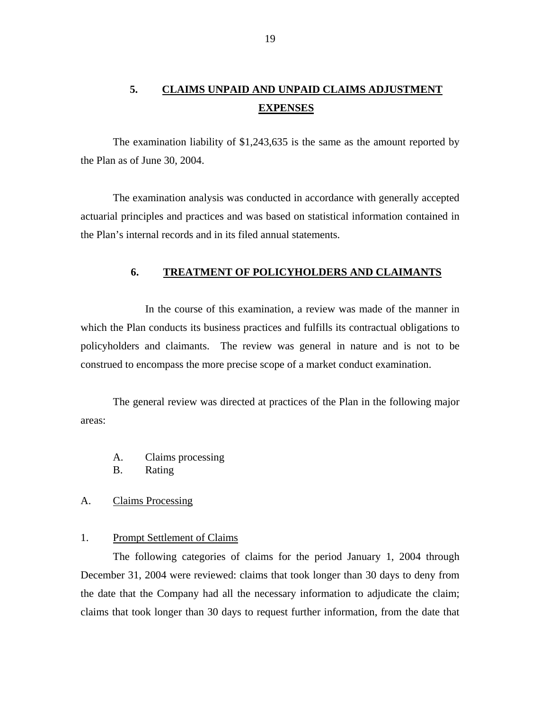## <span id="page-20-0"></span>**5. CLAIMS UNPAID AND UNPAID CLAIMS ADJUSTMENT EXPENSES**

The examination liability of \$1,243,635 is the same as the amount reported by the Plan as of June 30, 2004.

The examination analysis was conducted in accordance with generally accepted actuarial principles and practices and was based on statistical information contained in the Plan's internal records and in its filed annual statements.

#### **6. TREATMENT OF POLICYHOLDERS AND CLAIMANTS**

In the course of this examination, a review was made of the manner in which the Plan conducts its business practices and fulfills its contractual obligations to policyholders and claimants. The review was general in nature and is not to be construed to encompass the more precise scope of a market conduct examination.

The general review was directed at practices of the Plan in the following major areas:

- A. Claims processing
- B. Rating

#### A. Claims Processing

#### 1. Prompt Settlement of Claims

The following categories of claims for the period January 1, 2004 through December 31, 2004 were reviewed: claims that took longer than 30 days to deny from the date that the Company had all the necessary information to adjudicate the claim; claims that took longer than 30 days to request further information, from the date that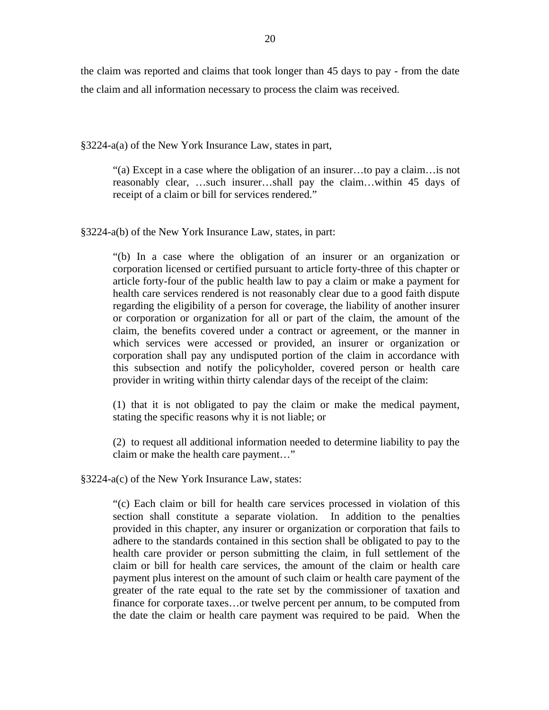the claim was reported and claims that took longer than 45 days to pay - from the date the claim and all information necessary to process the claim was received.

§3224-a(a) of the New York Insurance Law, states in part,

"(a) Except in a case where the obligation of an insurer…to pay a claim…is not reasonably clear, …such insurer…shall pay the claim…within 45 days of receipt of a claim or bill for services rendered."

§3224-a(b) of the New York Insurance Law, states, in part:

provider in writing within thirty calendar days of the receipt of the claim: "(b) In a case where the obligation of an insurer or an organization or corporation licensed or certified pursuant to article forty-three of this chapter or article forty-four of the public health law to pay a claim or make a payment for health care services rendered is not reasonably clear due to a good faith dispute regarding the eligibility of a person for coverage, the liability of another insurer or corporation or organization for all or part of the claim, the amount of the claim, the benefits covered under a contract or agreement, or the manner in which services were accessed or provided, an insurer or organization or corporation shall pay any undisputed portion of the claim in accordance with this subsection and notify the policyholder, covered person or health care

stating the specific reasons why it is not liable; or  $(1)$  that it is not obligated to pay the claim or make the medical payment,

 $(2)$  to request all additional information needed to determine liability to pay the claim or make the health care payment…"

§3224-a(c) of the New York Insurance Law, states:

"(c) Each claim or bill for health care services processed in violation of this section shall constitute a separate violation. In addition to the penalties provided in this chapter, any insurer or organization or corporation that fails to adhere to the standards contained in this section shall be obligated to pay to the health care provider or person submitting the claim, in full settlement of the claim or bill for health care services, the amount of the claim or health care payment plus interest on the amount of such claim or health care payment of the greater of the rate equal to the rate set by the commissioner of taxation and finance for corporate taxes…or twelve percent per annum, to be computed from the date the claim or health care payment was required to be paid. When the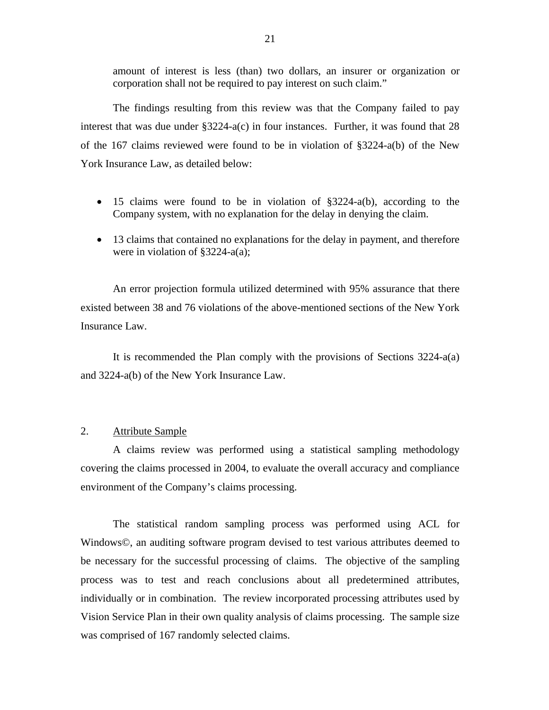<span id="page-22-0"></span>amount of interest is less (than) two dollars, an insurer or organization or corporation shall not be required to pay interest on such claim."

The findings resulting from this review was that the Company failed to pay interest that was due under §3224-a(c) in four instances. Further, it was found that 28 of the 167 claims reviewed were found to be in violation of §3224-a(b) of the New York Insurance Law, as detailed below:

- 15 claims were found to be in violation of §3224-a(b), according to the Company system, with no explanation for the delay in denying the claim.
- 13 claims that contained no explanations for the delay in payment, and therefore were in violation of §3224-a(a);

An error projection formula utilized determined with 95% assurance that there existed between 38 and 76 violations of the above-mentioned sections of the New York Insurance Law.

It is recommended the Plan comply with the provisions of Sections 3224-a(a) and 3224-a(b) of the New York Insurance Law.

#### 2. Attribute Sample

A claims review was performed using a statistical sampling methodology covering the claims processed in 2004, to evaluate the overall accuracy and compliance environment of the Company's claims processing.

The statistical random sampling process was performed using ACL for Windows©, an auditing software program devised to test various attributes deemed to be necessary for the successful processing of claims. The objective of the sampling process was to test and reach conclusions about all predetermined attributes, individually or in combination. The review incorporated processing attributes used by Vision Service Plan in their own quality analysis of claims processing. The sample size was comprised of 167 randomly selected claims.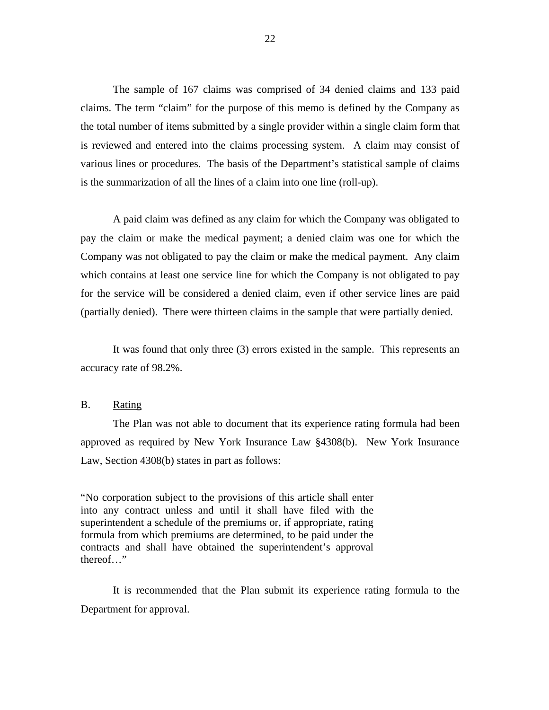<span id="page-23-0"></span>The sample of 167 claims was comprised of 34 denied claims and 133 paid claims. The term "claim" for the purpose of this memo is defined by the Company as the total number of items submitted by a single provider within a single claim form that is reviewed and entered into the claims processing system. A claim may consist of various lines or procedures. The basis of the Department's statistical sample of claims is the summarization of all the lines of a claim into one line (roll-up).

A paid claim was defined as any claim for which the Company was obligated to pay the claim or make the medical payment; a denied claim was one for which the Company was not obligated to pay the claim or make the medical payment. Any claim which contains at least one service line for which the Company is not obligated to pay for the service will be considered a denied claim, even if other service lines are paid (partially denied). There were thirteen claims in the sample that were partially denied.

It was found that only three (3) errors existed in the sample. This represents an accuracy rate of 98.2%.

#### B. Rating

The Plan was not able to document that its experience rating formula had been approved as required by New York Insurance Law §4308(b). New York Insurance Law, Section 4308(b) states in part as follows:

"No corporation subject to the provisions of this article shall enter into any contract unless and until it shall have filed with the superintendent a schedule of the premiums or, if appropriate, rating formula from which premiums are determined, to be paid under the contracts and shall have obtained the superintendent's approval thereof…"

It is recommended that the Plan submit its experience rating formula to the Department for approval.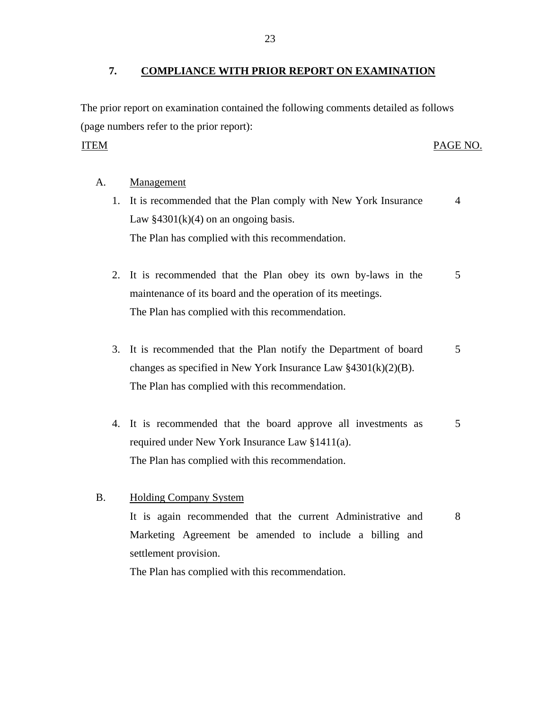#### <span id="page-24-0"></span>**7. COMPLIANCE WITH PRIOR REPORT ON EXAMINATION**

The prior report on examination contained the following comments detailed as follows (page numbers refer to the prior report):

#### **ITEM**

#### PAGE NO.

#### Management

- A. <u>Management</u><br>1. It is recommended that the Plan comply with New York Insurance 4 Law  $§4301(k)(4)$  on an ongoing basis. The Plan has complied with this recommendation.
	- 2. It is recommended that the Plan obey its own by-laws in the 5 maintenance of its board and the operation of its meetings. The Plan has complied with this recommendation.
	- 3. It is recommended that the Plan notify the Department of board 5 changes as specified in New York Insurance Law §4301(k)(2)(B). The Plan has complied with this recommendation.
	- 4. It is recommended that the board approve all investments as 5 required under New York Insurance Law §1411(a). The Plan has complied with this recommendation.
- B. Holding Company System It is again recommended that the current Administrative and 8 Marketing Agreement be amended to include a billing and settlement provision.

The Plan has complied with this recommendation.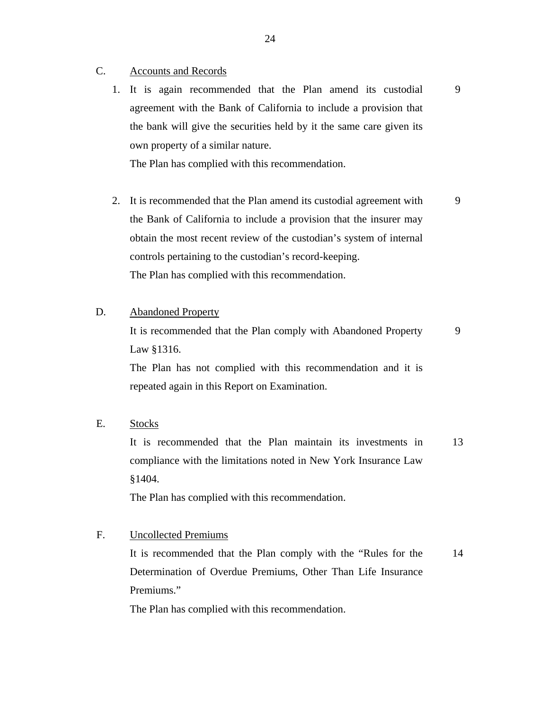- **Accounts and Records** C.
	- Accounts and Records<br>1. It is again recommended that the Plan amend its custodial agreement with the Bank of California to include a provision that the bank will give the securities held by it the same care given its own property of a similar nature.

9

The Plan has complied with this recommendation.

- 2. It is recommended that the Plan amend its custodial agreement with the Bank of California to include a provision that the insurer may obtain the most recent review of the custodian's system of internal controls pertaining to the custodian's record-keeping. The Plan has complied with this recommendation. 9
- **Abandoned Property**

D. Abandoned Property<br>It is recommended that the Plan comply with Abandoned Property Law §1316. 9

The Plan has not complied with this recommendation and it is repeated again in this Report on Examination.

**Stocks** 

E. Stocks<br>It is recommended that the Plan maintain its investments in compliance with the limitations noted in New York Insurance Law §1404. 13

The Plan has complied with this recommendation.

**Uncollected Premiums** 

F. Uncollected Premiums<br>It is recommended that the Plan comply with the "Rules for the Determination of Overdue Premiums, Other Than Life Insurance Premiums." 14

The Plan has complied with this recommendation.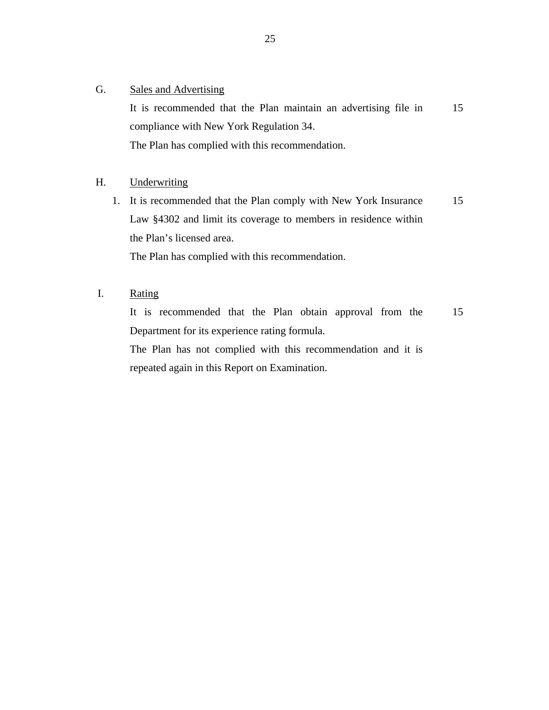#### **Sales and Advertising**

G. Sales and Advertising<br>It is recommended that the Plan maintain an advertising file in compliance with New York Regulation 34. The Plan has complied with this recommendation. 15

#### Underwriting H.

Underwriting<br>
1. It is recommended that the Plan comply with New York Insurance Law §4302 and limit its coverage to members in residence within the Plan's licensed area. 15

The Plan has complied with this recommendation.

Rating

I. Rating<br>It is recommended that the Plan obtain approval from the Department for its experience rating formula. 15

The Plan has not complied with this recommendation and it is repeated again in this Report on Examination.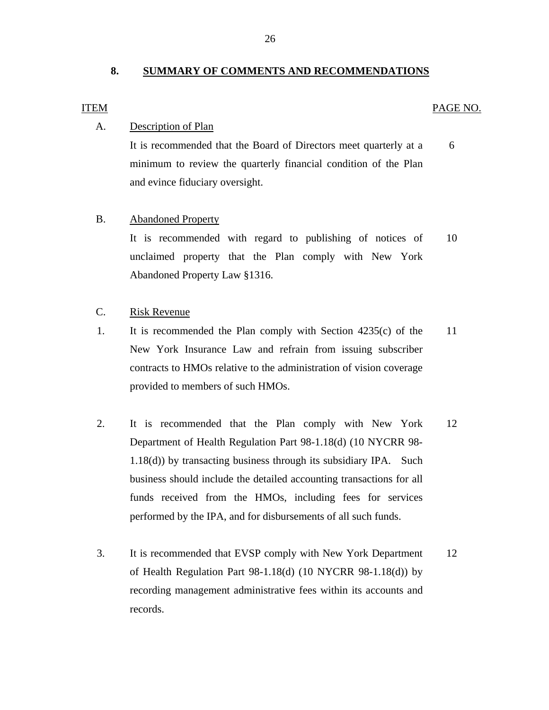#### **8. SUMMARY OF COMMENTS AND RECOMMENDATIONS**

#### **ITEM**

#### PAGE NO.

#### Description of Plan

A. Description of Plan<br>It is recommended that the Board of Directors meet quarterly at a 6 minimum to review the quarterly financial condition of the Plan and evince fiduciary oversight.

#### **Abandoned Property**

B. Abandoned Property<br>It is recommended with regard to publishing of notices of 10 unclaimed property that the Plan comply with New York Abandoned Property Law §1316.

#### Risk Revenue

- C. Risk Revenue<br>1. It is recommended the Plan comply with Section 4235(c) of the 11 New York Insurance Law and refrain from issuing subscriber contracts to HMOs relative to the administration of vision coverage provided to members of such HMOs.
- 2. It is recommended that the Plan comply with New York 12 Department of Health Regulation Part 98-1.18(d) (10 NYCRR 98- 1.18(d)) by transacting business through its subsidiary IPA. Such business should include the detailed accounting transactions for all funds received from the HMOs, including fees for services performed by the IPA, and for disbursements of all such funds.
- 3. It is recommended that EVSP comply with New York Department 12 of Health Regulation Part 98-1.18(d) (10 NYCRR 98-1.18(d)) by recording management administrative fees within its accounts and records.

26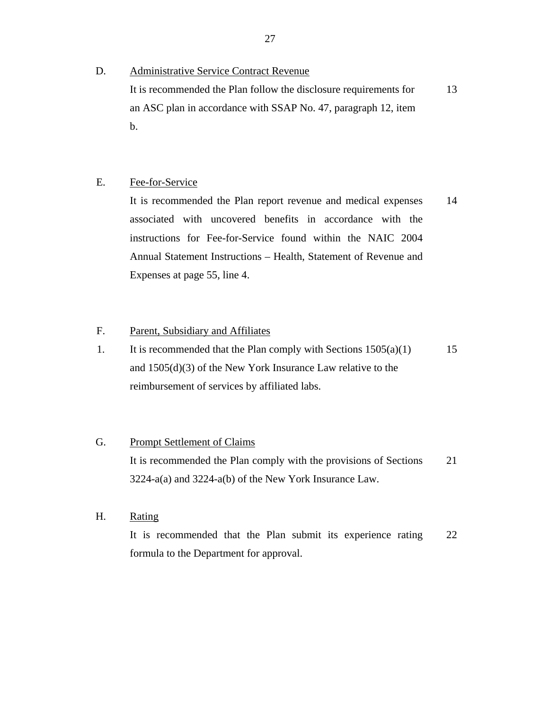#### **Administrative Service Contract Revenue**

D. Administrative Service Contract Revenue<br>It is recommended the Plan follow the disclosure requirements for an ASC plan in accordance with SSAP No. 47, paragraph 12, item b. 13

#### Fee-for-Service

E. Fee-for-Service<br>It is recommended the Plan report revenue and medical expenses associated with uncovered benefits in accordance with the instructions for Fee-for-Service found within the NAIC 2004 Annual Statement Instructions – Health, Statement of Revenue and Expenses at page 55, line 4. 14

#### Parent, Subsidiary and Affiliates F.

1. It is recommended that the Plan comply with Sections  $1505(a)(1)$ and 1505(d)(3) of the New York Insurance Law relative to the reimbursement of services by affiliated labs. 15

#### **Prompt Settlement of Claims**

G. Prompt Settlement of Claims<br>It is recommended the Plan comply with the provisions of Sections 3224-a(a) and 3224-a(b) of the New York Insurance Law. 21

#### Rating

H. Rating<br>It is recommended that the Plan submit its experience rating formula to the Department for approval. 22